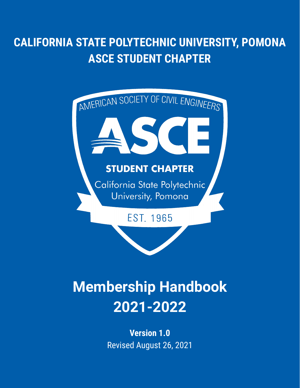# **CALIFORNIA STATE POLYTECHNIC UNIVERSITY, POMONA ASCE STUDENT CHAPTER**



# **Membership Handbook 2021-2022**

**Version 1.0** Revised August 26, 2021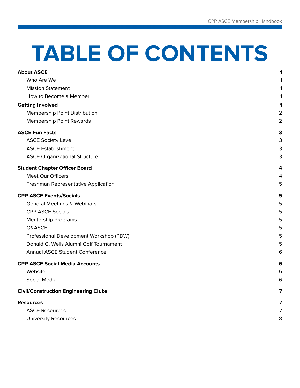# **TABLE OF CONTENTS**

<span id="page-1-0"></span>

| <b>About ASCE</b>                           | 1              |
|---------------------------------------------|----------------|
| Who Are We                                  |                |
| <b>Mission Statement</b>                    | 1              |
| How to Become a Member                      |                |
| <b>Getting Involved</b>                     | 1              |
| Membership Point Distribution               | $\overline{2}$ |
| <b>Membership Point Rewards</b>             | $\overline{2}$ |
| <b>ASCE Fun Facts</b>                       | 3              |
| <b>ASCE Society Level</b>                   | 3              |
| <b>ASCE Establishment</b>                   | 3              |
| <b>ASCE Organizational Structure</b>        | 3              |
| <b>Student Chapter Officer Board</b>        | 4              |
| Meet Our Officers                           | 4              |
| Freshman Representative Application         | 5              |
| <b>CPP ASCE Events/Socials</b>              | 5              |
| <b>General Meetings &amp; Webinars</b>      | 5              |
| <b>CPP ASCE Socials</b>                     | 5              |
| <b>Mentorship Programs</b>                  | 5              |
| Q&ASCE                                      | 5              |
| Professional Development Workshop (PDW)     | 5              |
| Donald G. Wells Alumni Golf Tournament      | 5              |
| <b>Annual ASCE Student Conference</b>       | 6              |
| <b>CPP ASCE Social Media Accounts</b>       | 6              |
| Website                                     | 6              |
| Social Media                                | 6              |
| <b>Civil/Construction Engineering Clubs</b> | 7              |
| <b>Resources</b>                            | 7              |
| <b>ASCE Resources</b>                       | 7              |
| <b>University Resources</b>                 | 8              |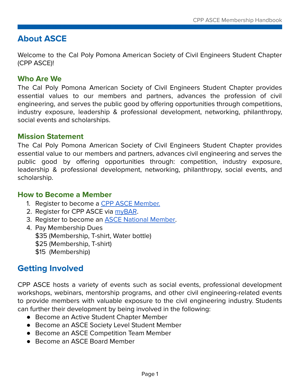# **About ASCE**

Welcome to the Cal Poly Pomona American Society of Civil Engineers Student Chapter (CPP ASCE)!

#### <span id="page-2-0"></span>**Who Are We**

The Cal Poly Pomona American Society of Civil Engineers Student Chapter provides essential values to our members and partners, advances the profession of civil engineering, and serves the public good by offering opportunities through competitions, industry exposure, leadership & professional development, networking, philanthropy, social events and scholarships.

#### <span id="page-2-1"></span>**Mission Statement**

The Cal Poly Pomona American Society of Civil Engineers Student Chapter provides essential value to our members and partners, advances civil engineering and serves the public good by offering opportunities through: competition, industry exposure, leadership & professional development, networking, philanthropy, social events, and scholarship.

#### <span id="page-2-2"></span>**How to Become a Member**

- 1. Register to become a CPP ASCE [Member.](https://forms.gle/1Z7NQHpJ9mc7f1519)
- 2. Register for CPP ASCE via [myBAR](https://mybar.cpp.edu/organization/asce).
- 3. Register to become an ASCE National [Member.](https://www.asce.org/communities/student-members)
- 4. Pay Membership Dues \$35 (Membership, T-shirt, Water bottle) \$25 (Membership, T-shirt) \$15 (Membership)

# **Getting Involved**

CPP ASCE hosts a variety of events such as social events, professional development workshops, webinars, mentorship programs, and other civil engineering-related events to provide members with valuable exposure to the civil engineering industry. Students can further their development by being involved in the following:

- Become an Active Student Chapter Member
- Become an ASCE Society Level Student Member
- Become an ASCE Competition Team Member
- Become an ASCE Board Member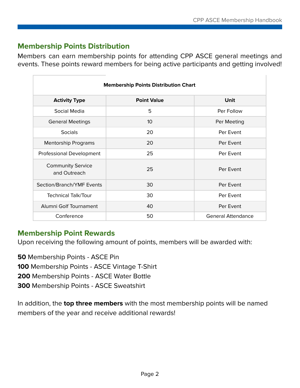## **Membership Points Distribution**

Members can earn membership points for attending CPP ASCE general meetings and events. These points reward members for being active participants and getting involved!

| <b>Membership Points Distribution Chart</b> |                    |                           |  |
|---------------------------------------------|--------------------|---------------------------|--|
| <b>Activity Type</b>                        | <b>Point Value</b> | Unit                      |  |
| Social Media                                | 5                  | Per Follow                |  |
| <b>General Meetings</b>                     | 10 <sup>°</sup>    | Per Meeting               |  |
| <b>Socials</b>                              | 20                 | Per Event                 |  |
| <b>Mentorship Programs</b>                  | 20                 | Per Event                 |  |
| Professional Development                    | 25                 | Per Event                 |  |
| <b>Community Service</b><br>and Outreach    | 25                 | Per Event                 |  |
| Section/Branch/YMF Events                   | 30                 | Per Event                 |  |
| <b>Technical Talk/Tour</b>                  | 30                 | Per Event                 |  |
| Alumni Golf Tournament                      | 40                 | Per Event                 |  |
| Conference                                  | 50                 | <b>General Attendance</b> |  |

## **Membership Point Rewards**

Upon receiving the following amount of points, members will be awarded with:

**50** Membership Points - ASCE Pin

**100** Membership Points - ASCE Vintage T-Shirt

**200** Membership Points - ASCE Water Bottle

**300** Membership Points - ASCE Sweatshirt

In addition, the **top three members** with the most membership points will be named members of the year and receive additional rewards!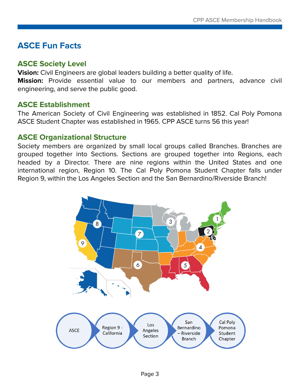# <span id="page-4-0"></span>**ASCE Fun Facts**

#### **ASCE Society Level**

**Vision:** Civil Engineers are global leaders building a better quality of life. **Mission:** Provide essential value to our members and partners, advance civil engineering, and serve the public good.

#### <span id="page-4-1"></span>**ASCE Establishment**

The American Society of Civil Engineering was established in 1852. Cal Poly Pomona ASCE Student Chapter was established in 1965. CPP ASCE turns 56 this year!

#### <span id="page-4-2"></span>**ASCE Organizational Structure**

Society members are organized by small local groups called Branches. Branches are grouped together into Sections. Sections are grouped together into Regions, each headed by a Director. There are nine regions within the United States and one international region, Region 10. The Cal Poly Pomona Student Chapter falls under Region 9, within the Los Angeles Section and the San Bernardino/Riverside Branch!

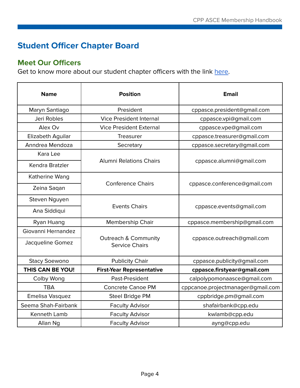# **Student Officer Chapter Board**

## **Meet Our Officers**

Get to know more about our student chapter officers with the link [here.](https://www.cppasce.org/team)

<span id="page-5-0"></span>

| <b>Name</b>          | <b>Position</b>                                          | <b>Email</b>                      |
|----------------------|----------------------------------------------------------|-----------------------------------|
| Maryn Santiago       | President                                                | cppasce.president@gmail.com       |
| Jeri Robles          | <b>Vice President Internal</b>                           | cppasce.vpi@gmail.com             |
| Alex Ov              | <b>Vice President External</b>                           | cppasce.vpe@gmail.com             |
| Elizabeth Aguilar    | Treasurer                                                | cppasce.treasurer@gmail.com       |
| Anndrea Mendoza      | Secretary                                                | cppasce.secretary@gmail.com       |
| Kara Lee             |                                                          | cppasce.alumni@gmail.com          |
| Kendra Bratzler      | <b>Alumni Relations Chairs</b>                           |                                   |
| Katherine Wang       |                                                          |                                   |
| Zeina Saqan          | <b>Conference Chairs</b>                                 | cppasce.conference@gmail.com      |
| Steven Nguyen        |                                                          | cppasce.events@gmail.com          |
| Ana Siddiqui         | <b>Events Chairs</b>                                     |                                   |
| Ryan Huang           | Membership Chair                                         | cppasce.membership@gmail.com      |
| Giovanni Hernandez   |                                                          |                                   |
| Jacqueline Gomez     | <b>Outreach &amp; Community</b><br><b>Service Chairs</b> | cppasce.outreach@gmail.com        |
| <b>Stacy Soewono</b> | <b>Publicity Chair</b>                                   | cppasce.publicity@gmail.com       |
| THIS CAN BE YOU!     | <b>First-Year Representative</b>                         | cppasce.firstyear@gmail.com       |
| Colby Wong           | Past-President                                           | calpolypomonaasce@gmail.com       |
| <b>TBA</b>           | <b>Concrete Canoe PM</b>                                 | cppcanoe.projectmanager@gmail.com |
| Emelisa Vasquez      | Steel Bridge PM                                          | cppbridge.pm@gmail.com            |
| Seema Shah-Fairbank  | <b>Faculty Advisor</b>                                   | shafairbank@cpp.edu               |
| Kenneth Lamb         | <b>Faculty Advisor</b>                                   | kwlamb@cpp.edu                    |
| Allan Ng             | <b>Faculty Advisor</b>                                   | ayng@cpp.edu                      |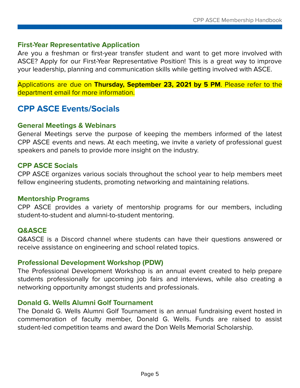#### **First-Year Representative Application**

Are you a freshman or first-year transfer student and want to get more involved with ASCE? Apply for our First-Year Representative Position! This is a great way to improve your leadership, planning and communication skills while getting involved with ASCE.

Applications are due on **Thursday, September 23, 2021 by 5 PM**. Please refer to the department email for more information.

# <span id="page-6-0"></span>**CPP ASCE Events/Socials**

#### <span id="page-6-1"></span>**General Meetings & Webinars**

General Meetings serve the purpose of keeping the members informed of the latest CPP ASCE events and news. At each meeting, we invite a variety of professional guest speakers and panels to provide more insight on the industry.

#### <span id="page-6-2"></span>**CPP ASCE Socials**

CPP ASCE organizes various socials throughout the school year to help members meet fellow engineering students, promoting networking and maintaining relations.

#### <span id="page-6-3"></span>**Mentorship Programs**

CPP ASCE provides a variety of mentorship programs for our members, including student-to-student and alumni-to-student mentoring.

#### <span id="page-6-4"></span>**Q&ASCE**

Q&ASCE is a Discord channel where students can have their questions answered or receive assistance on engineering and school related topics.

#### <span id="page-6-5"></span>**Professional Development Workshop (PDW)**

The Professional Development Workshop is an annual event created to help prepare students professionally for upcoming job fairs and interviews, while also creating a networking opportunity amongst students and professionals.

#### <span id="page-6-6"></span>**Donald G. Wells Alumni Golf Tournament**

The Donald G. Wells Alumni Golf Tournament is an annual fundraising event hosted in commemoration of faculty member, Donald G. Wells. Funds are raised to assist student-led competition teams and award the Don Wells Memorial Scholarship.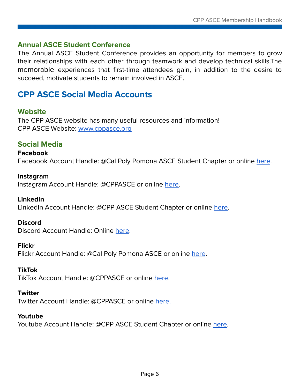#### **Annual ASCE Student Conference**

The Annual ASCE Student Conference provides an opportunity for members to grow their relationships with each other through teamwork and develop technical skills.The memorable experiences that first-time attendees gain, in addition to the desire to succeed, motivate students to remain involved in ASCE.

# **CPP ASCE Social Media Accounts**

#### <span id="page-7-0"></span>**Website**

The CPP ASCE website has many useful resources and information! CPP ASCE Website: [www.cppasce.org](https://www.cppasce.org/)

#### <span id="page-7-1"></span>**Social Media**

#### **Facebook**

Facebook Account Handle: @Cal Poly Pomona ASCE Student Chapter or online [here.](https://www.facebook.com/CPPASCE)

#### **Instagram**

Instagram Account Handle: @CPPASCE or online [here.](https://www.instagram.com/cppasce/)

#### **LinkedIn**

LinkedIn Account Handle: @CPP ASCE Student Chapter or online [here](https://www.linkedin.com/company/cppasce/).

#### **Discord**

Discord Account Handle: Online [here.](https://discord.gg/ndctXyfQKY)

#### **Flickr**

Flickr Account Handle: @Cal Poly Pomona ASCE or online [here](https://www.flickr.com/photos/cppasce).

#### **TikTok**

TikTok Account Handle: @CPPASCE or online [here](https://www.tiktok.com/@cppasce).

#### **Twitter**

Twitter Account Handle: @CPPASCE or online [here.](https://twitter.com/CPPASCE)

#### **Youtube**

Youtube Account Handle: @CPP ASCE Student Chapter or online [here](https://www.youtube.com/channel/UCob5PUi77UZ4B6zhQ9RRCbQ).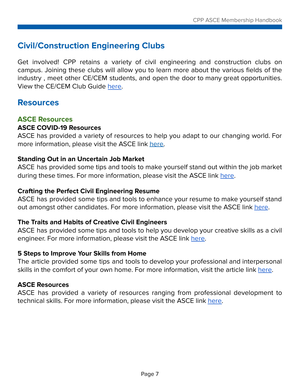# **Civil/Construction Engineering Clubs**

Get involved! CPP retains a variety of civil engineering and construction clubs on campus. Joining these clubs will allow you to learn more about the various fields of the industry , meet other CE/CEM students, and open the door to many great opportunities. View the CE/CEM Club Guide [here.](https://drive.google.com/file/d/1uwZZP06xwn3T55B5f5ADPF-9Ap6eW6ma/view)

# **Resources**

#### <span id="page-8-0"></span>**ASCE Resources**

#### **ASCE COVID-19 Resources**

ASCE has provided a variety of resources to help you adapt to our changing world. For more information, please visit the ASCE link [here.](https://collaborate.asce.org/covid-19/home)

#### **Standing Out in an Uncertain Job Market**

ASCE has provided some tips and tools to make yourself stand out within the job market during these times. For more information, please visit the ASCE link [here.](https://collaborate.asce.org/careerbydesign/resources/ce-graduates?_ga=2.68594321.108277007.1591551117-1981077099.1590658244)

#### **Crafting the Perfect Civil Engineering Resume**

ASCE has provided some tips and tools to enhance your resume to make yourself stand out amongst other candidates. For more information, please visit the ASCE link [here](https://news.asce.org/crafting-the-perfect-civil-engineering-resume/).

#### **The Traits and Habits of Creative Civil Engineers**

ASCE has provided some tips and tools to help you develop your creative skills as a civil engineer. For more information, please visit the ASCE link [here](https://news.asce.org/the-traits-and-habits-of-creative-civil-engineers/).

#### **5 Steps to Improve Your Skills from Home**

The article provided some tips and tools to develop your professional and interpersonal skills in the comfort of your own home. For more information, visit the article link [here.](https://www.careerbuilder.com/advice/5-steps-to-improve-your-skills-from-home)

#### **ASCE Resources**

ASCE has provided a variety of resources ranging from professional development to technical skills. For more information, please visit the ASCE link [here.](https://www.asce.org/career-growth/leader-development)